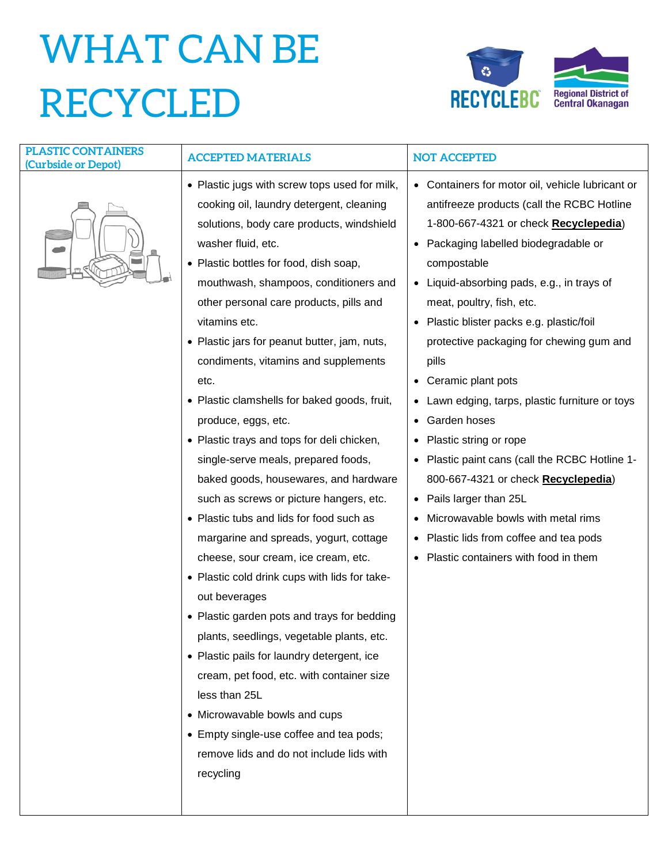## WHAT CAN BE RECYCLED



| <b>PLASTIC CONTAINERS</b><br>(Curbside or Depot) | <b>ACCEPTED MATERIALS</b>                                                                                                                                                                                                                                                                                                                                                                                                                                                                                                                                                                                                                                                                                                                                                                                                                                                                                                                                                                                                                                                                                                                                                                               | <b>NOT ACCEPTED</b>                                                                                                                                                                                                                                                                                                                                                                                                                                                                                                                                                                                                                                                                                                                                                                                      |
|--------------------------------------------------|---------------------------------------------------------------------------------------------------------------------------------------------------------------------------------------------------------------------------------------------------------------------------------------------------------------------------------------------------------------------------------------------------------------------------------------------------------------------------------------------------------------------------------------------------------------------------------------------------------------------------------------------------------------------------------------------------------------------------------------------------------------------------------------------------------------------------------------------------------------------------------------------------------------------------------------------------------------------------------------------------------------------------------------------------------------------------------------------------------------------------------------------------------------------------------------------------------|----------------------------------------------------------------------------------------------------------------------------------------------------------------------------------------------------------------------------------------------------------------------------------------------------------------------------------------------------------------------------------------------------------------------------------------------------------------------------------------------------------------------------------------------------------------------------------------------------------------------------------------------------------------------------------------------------------------------------------------------------------------------------------------------------------|
|                                                  | • Plastic jugs with screw tops used for milk,<br>cooking oil, laundry detergent, cleaning<br>solutions, body care products, windshield<br>washer fluid, etc.<br>• Plastic bottles for food, dish soap,<br>mouthwash, shampoos, conditioners and<br>other personal care products, pills and<br>vitamins etc.<br>• Plastic jars for peanut butter, jam, nuts,<br>condiments, vitamins and supplements<br>etc.<br>• Plastic clamshells for baked goods, fruit,<br>produce, eggs, etc.<br>• Plastic trays and tops for deli chicken,<br>single-serve meals, prepared foods,<br>baked goods, housewares, and hardware<br>such as screws or picture hangers, etc.<br>• Plastic tubs and lids for food such as<br>margarine and spreads, yogurt, cottage<br>cheese, sour cream, ice cream, etc.<br>• Plastic cold drink cups with lids for take-<br>out beverages<br>• Plastic garden pots and trays for bedding<br>plants, seedlings, vegetable plants, etc.<br>• Plastic pails for laundry detergent, ice<br>cream, pet food, etc. with container size<br>less than 25L<br>• Microwavable bowls and cups<br>• Empty single-use coffee and tea pods;<br>remove lids and do not include lids with<br>recycling | • Containers for motor oil, vehicle lubricant or<br>antifreeze products (call the RCBC Hotline<br>1-800-667-4321 or check Recyclepedia)<br>Packaging labelled biodegradable or<br>$\bullet$<br>compostable<br>Liquid-absorbing pads, e.g., in trays of<br>٠<br>meat, poultry, fish, etc.<br>Plastic blister packs e.g. plastic/foil<br>$\bullet$<br>protective packaging for chewing gum and<br>pills<br>Ceramic plant pots<br>٠<br>Lawn edging, tarps, plastic furniture or toys<br>Garden hoses<br>٠<br>Plastic string or rope<br>٠<br>Plastic paint cans (call the RCBC Hotline 1-<br>800-667-4321 or check Recyclepedia)<br>Pails larger than 25L<br>٠<br>Microwavable bowls with metal rims<br>٠<br>Plastic lids from coffee and tea pods<br>٠<br>Plastic containers with food in them<br>$\bullet$ |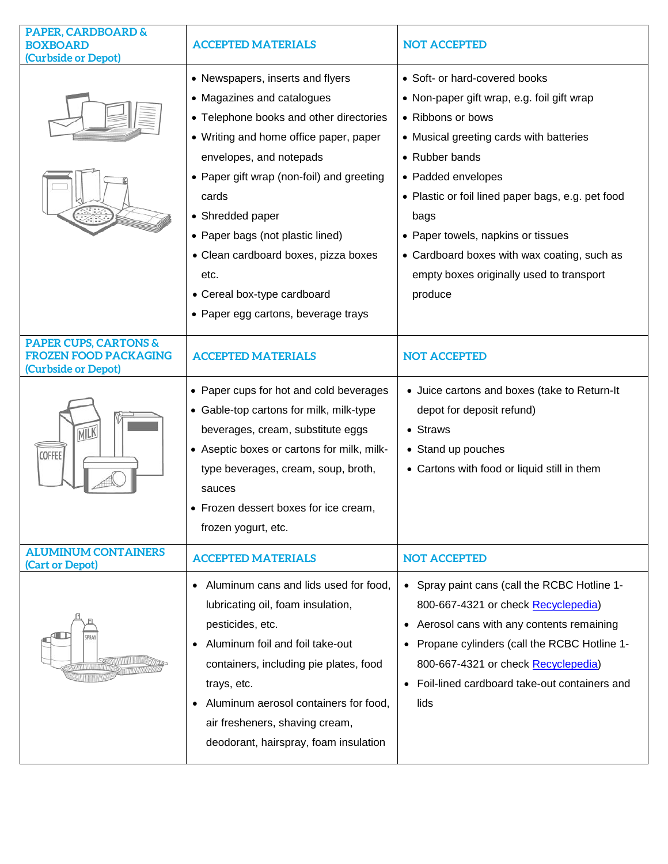| <b>PAPER, CARDBOARD &amp;</b><br><b>BOXBOARD</b><br>(Curbside or Depot)                 | <b>ACCEPTED MATERIALS</b>                                                                                                                                                                                                                                                                                                                                                                                          | <b>NOT ACCEPTED</b>                                                                                                                                                                                                                                                                                                                                                                          |
|-----------------------------------------------------------------------------------------|--------------------------------------------------------------------------------------------------------------------------------------------------------------------------------------------------------------------------------------------------------------------------------------------------------------------------------------------------------------------------------------------------------------------|----------------------------------------------------------------------------------------------------------------------------------------------------------------------------------------------------------------------------------------------------------------------------------------------------------------------------------------------------------------------------------------------|
|                                                                                         | • Newspapers, inserts and flyers<br>• Magazines and catalogues<br>• Telephone books and other directories<br>• Writing and home office paper, paper<br>envelopes, and notepads<br>• Paper gift wrap (non-foil) and greeting<br>cards<br>• Shredded paper<br>• Paper bags (not plastic lined)<br>• Clean cardboard boxes, pizza boxes<br>etc.<br>• Cereal box-type cardboard<br>• Paper egg cartons, beverage trays | • Soft- or hard-covered books<br>• Non-paper gift wrap, e.g. foil gift wrap<br>• Ribbons or bows<br>• Musical greeting cards with batteries<br>• Rubber bands<br>• Padded envelopes<br>• Plastic or foil lined paper bags, e.g. pet food<br>bags<br>• Paper towels, napkins or tissues<br>• Cardboard boxes with wax coating, such as<br>empty boxes originally used to transport<br>produce |
| <b>PAPER CUPS, CARTONS &amp;</b><br><b>FROZEN FOOD PACKAGING</b><br>(Curbside or Depot) | <b>ACCEPTED MATERIALS</b>                                                                                                                                                                                                                                                                                                                                                                                          | <b>NOT ACCEPTED</b>                                                                                                                                                                                                                                                                                                                                                                          |
| MILK<br>COFFEE                                                                          | • Paper cups for hot and cold beverages<br>• Gable-top cartons for milk, milk-type<br>beverages, cream, substitute eggs<br>• Aseptic boxes or cartons for milk, milk-<br>type beverages, cream, soup, broth,<br>sauces<br>• Frozen dessert boxes for ice cream,<br>frozen yogurt, etc.                                                                                                                             | • Juice cartons and boxes (take to Return-It<br>depot for deposit refund)<br>• Straws<br>• Stand up pouches<br>• Cartons with food or liquid still in them                                                                                                                                                                                                                                   |
| <b>ALUMINUM CONTAINERS</b><br>(Cart or Depot)                                           | <b>ACCEPTED MATERIALS</b>                                                                                                                                                                                                                                                                                                                                                                                          | <b>NOT ACCEPTED</b>                                                                                                                                                                                                                                                                                                                                                                          |
|                                                                                         | • Aluminum cans and lids used for food,<br>lubricating oil, foam insulation,<br>pesticides, etc.<br>Aluminum foil and foil take-out<br>containers, including pie plates, food<br>trays, etc.<br>Aluminum aerosol containers for food,<br>air fresheners, shaving cream,<br>deodorant, hairspray, foam insulation                                                                                                   | • Spray paint cans (call the RCBC Hotline 1-<br>800-667-4321 or check Recyclepedia)<br>• Aerosol cans with any contents remaining<br>• Propane cylinders (call the RCBC Hotline 1-<br>800-667-4321 or check Recyclepedia)<br>Foil-lined cardboard take-out containers and<br>lids                                                                                                            |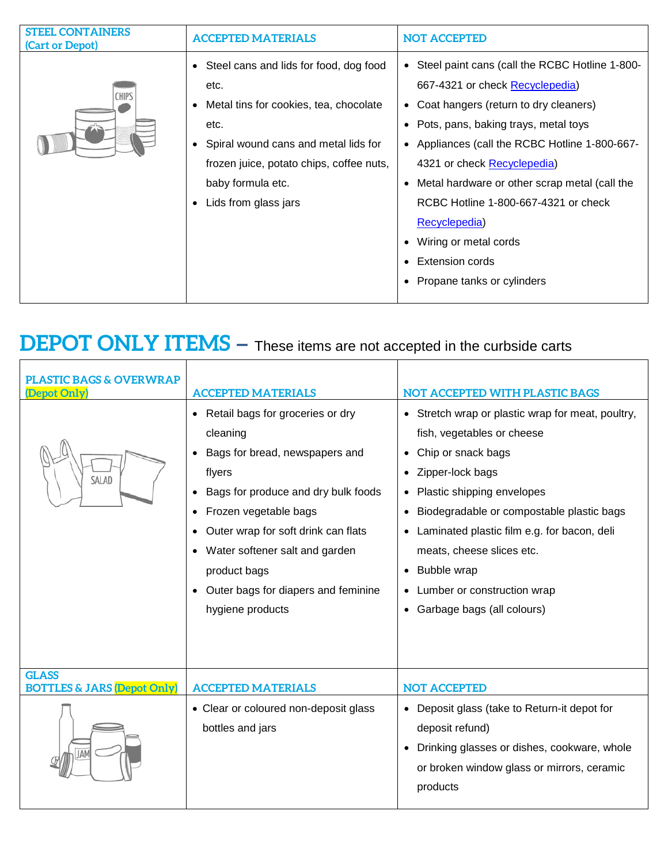| <b>STEEL CONTAINERS</b><br>(Cart or Depot) | <b>ACCEPTED MATERIALS</b>                                                                                                                                                                                                           | <b>NOT ACCEPTED</b>                                                                                                                                                                                                                                                                                                                                                                                                                                    |
|--------------------------------------------|-------------------------------------------------------------------------------------------------------------------------------------------------------------------------------------------------------------------------------------|--------------------------------------------------------------------------------------------------------------------------------------------------------------------------------------------------------------------------------------------------------------------------------------------------------------------------------------------------------------------------------------------------------------------------------------------------------|
| <b>CHIPS</b>                               | • Steel cans and lids for food, dog food<br>etc.<br>Metal tins for cookies, tea, chocolate<br>etc.<br>Spiral wound cans and metal lids for<br>frozen juice, potato chips, coffee nuts,<br>baby formula etc.<br>Lids from glass jars | Steel paint cans (call the RCBC Hotline 1-800-<br>667-4321 or check Recyclepedia)<br>• Coat hangers (return to dry cleaners)<br>• Pots, pans, baking trays, metal toys<br>• Appliances (call the RCBC Hotline 1-800-667-<br>4321 or check Recyclepedia)<br>• Metal hardware or other scrap metal (call the<br>RCBC Hotline 1-800-667-4321 or check<br>Recyclepedia)<br>Wiring or metal cords<br><b>Extension cords</b><br>• Propane tanks or cylinders |

## **DEPOT ONLY ITEMS** – These items are not accepted in the curbside carts

| <b>PLASTIC BAGS &amp; OVERWRAP</b><br>(Depot Only)<br>SALAD | <b>ACCEPTED MATERIALS</b><br>• Retail bags for groceries or dry<br>cleaning<br>Bags for bread, newspapers and<br>flyers<br>Bags for produce and dry bulk foods<br>Frozen vegetable bags<br>Outer wrap for soft drink can flats<br>• Water softener salt and garden<br>product bags<br>• Outer bags for diapers and feminine<br>hygiene products | NOT ACCEPTED WITH PLASTIC BAGS<br>• Stretch wrap or plastic wrap for meat, poultry,<br>fish, vegetables or cheese<br>Chip or snack bags<br>Zipper-lock bags<br>$\bullet$<br>Plastic shipping envelopes<br>Biodegradable or compostable plastic bags<br>• Laminated plastic film e.g. for bacon, deli<br>meats, cheese slices etc.<br><b>Bubble wrap</b><br>• Lumber or construction wrap<br>Garbage bags (all colours) |
|-------------------------------------------------------------|-------------------------------------------------------------------------------------------------------------------------------------------------------------------------------------------------------------------------------------------------------------------------------------------------------------------------------------------------|------------------------------------------------------------------------------------------------------------------------------------------------------------------------------------------------------------------------------------------------------------------------------------------------------------------------------------------------------------------------------------------------------------------------|
| <b>GLASS</b><br><b>BOTTLES &amp; JARS (Depot Only)</b>      | <b>ACCEPTED MATERIALS</b><br>• Clear or coloured non-deposit glass<br>bottles and jars                                                                                                                                                                                                                                                          | <b>NOT ACCEPTED</b><br>• Deposit glass (take to Return-it depot for<br>deposit refund)<br>Drinking glasses or dishes, cookware, whole<br>or broken window glass or mirrors, ceramic<br>products                                                                                                                                                                                                                        |